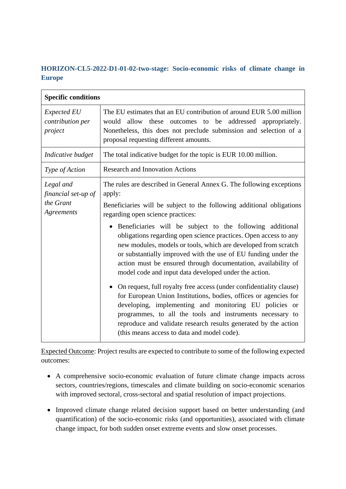## **HORIZON-CL5-2022-D1-01-02-two-stage: Socio-economic risks of climate change in Europe**

| <b>Specific conditions</b>                                  |                                                                                                                                                                                                                                                                                                                                                                                                                                                                                                                                                                                                                                                                                                                                                                                 |
|-------------------------------------------------------------|---------------------------------------------------------------------------------------------------------------------------------------------------------------------------------------------------------------------------------------------------------------------------------------------------------------------------------------------------------------------------------------------------------------------------------------------------------------------------------------------------------------------------------------------------------------------------------------------------------------------------------------------------------------------------------------------------------------------------------------------------------------------------------|
| <b>Expected EU</b><br>contribution per<br>project           | The EU estimates that an EU contribution of around EUR 5.00 million<br>would allow these outcomes to be addressed appropriately.<br>Nonetheless, this does not preclude submission and selection of a<br>proposal requesting different amounts.                                                                                                                                                                                                                                                                                                                                                                                                                                                                                                                                 |
| Indicative budget                                           | The total indicative budget for the topic is EUR 10.00 million.                                                                                                                                                                                                                                                                                                                                                                                                                                                                                                                                                                                                                                                                                                                 |
| Type of Action                                              | <b>Research and Innovation Actions</b>                                                                                                                                                                                                                                                                                                                                                                                                                                                                                                                                                                                                                                                                                                                                          |
| Legal and<br>financial set-up of<br>the Grant<br>Agreements | The rules are described in General Annex G. The following exceptions<br>apply:<br>Beneficiaries will be subject to the following additional obligations<br>regarding open science practices:                                                                                                                                                                                                                                                                                                                                                                                                                                                                                                                                                                                    |
|                                                             | Beneficiaries will be subject to the following additional<br>obligations regarding open science practices. Open access to any<br>new modules, models or tools, which are developed from scratch<br>or substantially improved with the use of EU funding under the<br>action must be ensured through documentation, availability of<br>model code and input data developed under the action.<br>On request, full royalty free access (under confidentiality clause)<br>for European Union Institutions, bodies, offices or agencies for<br>developing, implementing and monitoring EU policies or<br>programmes, to all the tools and instruments necessary to<br>reproduce and validate research results generated by the action<br>(this means access to data and model code). |

Expected Outcome: Project results are expected to contribute to some of the following expected outcomes:

- A comprehensive socio-economic evaluation of future climate change impacts across sectors, countries/regions, timescales and climate building on socio-economic scenarios with improved sectoral, cross-sectoral and spatial resolution of impact projections.
- Improved climate change related decision support based on better understanding (and quantification) of the socio-economic risks (and opportunities), associated with climate change impact, for both sudden onset extreme events and slow onset processes.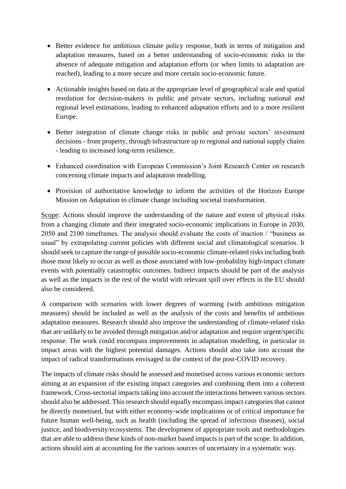- Better evidence for ambitious climate policy response, both in terms of mitigation and adaptation measures, based on a better understanding of socio-economic risks in the absence of adequate mitigation and adaptation efforts (or when limits to adaptation are reached), leading to a more secure and more certain socio-economic future.
- Actionable insights based on data at the appropriate level of geographical scale and spatial resolution for decision-makers in public and private sectors, including national and regional level estimations, leading to enhanced adaptation efforts and to a more resilient Europe.
- Better integration of climate change risks in public and private sectors' investment decisions - from property, through infrastructure up to regional and national supply chains - leading to increased long-term resilience.
- Enhanced coordination with European Commission's Joint Research Center on research concerning climate impacts and adaptation modelling.
- Provision of authoritative knowledge to inform the activities of the Horizon Europe Mission on Adaptation to climate change including societal transformation.

Scope: Actions should improve the understanding of the nature and extent of physical risks from a changing climate and their integrated socio-economic implications in Europe in 2030, 2050 and 2100 timeframes. The analysis should evaluate the costs of inaction / "business as usual" by extrapolating current policies with different social and climatological scenarios. It should seek to capture the range of possible socio-economic climate-related risks including both those most likely to occur as well as those associated with low-probability high-impact climate events with potentially catastrophic outcomes. Indirect impacts should be part of the analysis as well as the impacts in the rest of the world with relevant spill over effects in the EU should also be considered.

A comparison with scenarios with lower degrees of warming (with ambitious mitigation measures) should be included as well as the analysis of the costs and benefits of ambitious adaptation measures. Research should also improve the understanding of climate-related risks that are unlikely to be avoided through mitigation and/or adaptation and require urgent/specific response. The work could encompass improvements in adaptation modelling, in particular in impact areas with the highest potential damages. Actions should also take into account the impact of radical transformations envisaged in the context of the post-COVID recovery.

The impacts of climate risks should be assessed and monetised across various economic sectors aiming at an expansion of the existing impact categories and combining them into a coherent framework. Cross-sectorial impacts taking into account the interactions between various sectors should also be addressed. This research should equally encompass impact categories that cannot be directly monetised, but with either economy-wide implications or of critical importance for future human well-being, such as health (including the spread of infectious diseases), social justice, and biodiversity/ecosystems. The development of appropriate tools and methodologies that are able to address these kinds of non-market based impacts is part of the scope. In addition, actions should aim at accounting for the various sources of uncertainty in a systematic way.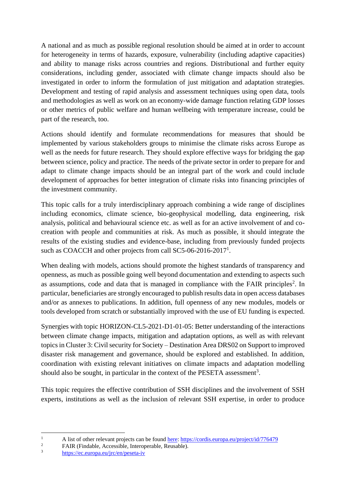A national and as much as possible regional resolution should be aimed at in order to account for heterogeneity in terms of hazards, exposure, vulnerability (including adaptive capacities) and ability to manage risks across countries and regions. Distributional and further equity considerations, including gender, associated with climate change impacts should also be investigated in order to inform the formulation of just mitigation and adaptation strategies. Development and testing of rapid analysis and assessment techniques using open data, tools and methodologies as well as work on an economy-wide damage function relating GDP losses or other metrics of public welfare and human wellbeing with temperature increase, could be part of the research, too.

Actions should identify and formulate recommendations for measures that should be implemented by various stakeholders groups to minimise the climate risks across Europe as well as the needs for future research. They should explore effective ways for bridging the gap between science, policy and practice. The needs of the private sector in order to prepare for and adapt to climate change impacts should be an integral part of the work and could include development of approaches for better integration of climate risks into financing principles of the investment community.

This topic calls for a truly interdisciplinary approach combining a wide range of disciplines including economics, climate science, bio-geophysical modelling, data engineering, risk analysis, political and behavioural science etc. as well as for an active involvement of and cocreation with people and communities at risk. As much as possible, it should integrate the results of the existing studies and evidence-base, including from previously funded projects such as COACCH and other projects from call SC5-06-2016-2017<sup>1</sup>.

When dealing with models, actions should promote the highest standards of transparency and openness, as much as possible going well beyond documentation and extending to aspects such as assumptions, code and data that is managed in compliance with the FAIR principles<sup>2</sup>. In particular, beneficiaries are strongly encouraged to publish results data in open access databases and/or as annexes to publications. In addition, full openness of any new modules, models or tools developed from scratch or substantially improved with the use of EU funding is expected.

Synergies with topic HORIZON-CL5-2021-D1-01-05: Better understanding of the interactions between climate change impacts, mitigation and adaptation options, as well as with relevant topics in Cluster 3: Civil security for Society – Destination Area DRS02 on Support to improved disaster risk management and governance, should be explored and established. In addition, coordination with existing relevant initiatives on climate impacts and adaptation modelling should also be sought, in particular in the context of the PESETA assessment<sup>3</sup>.

This topic requires the effective contribution of SSH disciplines and the involvement of SSH experts, institutions as well as the inclusion of relevant SSH expertise, in order to produce

<sup>&</sup>lt;sup>1</sup> A list of other relevant projects can be found <u>here:<https://cordis.europa.eu/project/id/776479></u>

<sup>&</sup>lt;sup>2</sup> FAIR (Findable, Accessible, Interoperable, Reusable).

<sup>3</sup> <https://ec.europa.eu/jrc/en/peseta-iv>